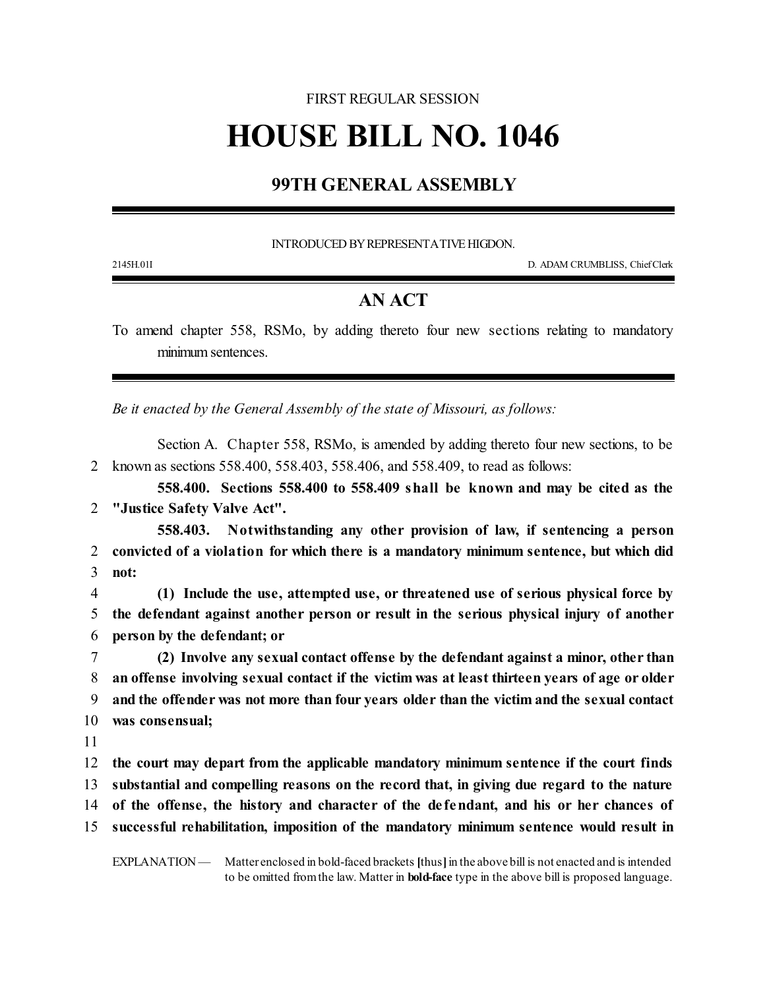## FIRST REGULAR SESSION

## **HOUSE BILL NO. 1046**

## **99TH GENERAL ASSEMBLY**

INTRODUCED BY REPRESENTATIVE HIGDON.

2145H.01I D. ADAM CRUMBLISS, ChiefClerk

## **AN ACT**

To amend chapter 558, RSMo, by adding thereto four new sections relating to mandatory minimum sentences.

*Be it enacted by the General Assembly of the state of Missouri, as follows:*

Section A. Chapter 558, RSMo, is amended by adding thereto four new sections, to be 2 known as sections 558.400, 558.403, 558.406, and 558.409, to read as follows:

**558.400. Sections 558.400 to 558.409 shall be known and may be cited as the** 2 **"Justice Safety Valve Act".**

**558.403. Notwithstanding any other provision of law, if sentencing a person** 2 **convicted of a violation for which there is a mandatory minimum sentence, but which did** 3 **not:**

4 **(1) Include the use, attempted use, or threatened use of serious physical force by** 5 **the defendant against another person or result in the serious physical injury of another** 6 **person by the defendant; or**

 **(2) Involve any sexual contact offense by the defendant against a minor, other than an offense involving sexual contact if the victim was at least thirteen years of age or older and the offender was not more than four years older than the victim and the sexual contact was consensual;**

11

 **the court may depart from the applicable mandatory minimum sentence if the court finds substantial and compelling reasons on the record that, in giving due regard to the nature of the offense, the history and character of the de fendant, and his or her chances of successful rehabilitation, imposition of the mandatory minimum sentence would result in**

EXPLANATION — Matter enclosed in bold-faced brackets [thus] in the above bill is not enacted and is intended to be omitted fromthe law. Matter in **bold-face** type in the above bill is proposed language.